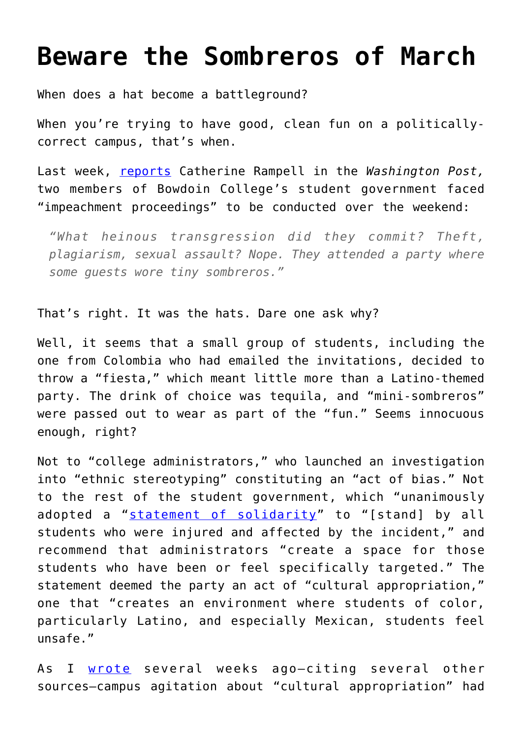## **[Beware the Sombreros of March](https://intellectualtakeout.org/2016/03/beware-the-sombreros-of-march/)**

When does a hat become a battleground?

When you're trying to have good, clean fun on a politicallycorrect campus, that's when.

Last week, [reports](https://www.washingtonpost.com/opinions/party-culture/2016/03/03/fdb46cc4-e185-11e5-9c36-e1902f6b6571_story.html) Catherine Rampell in the *Washington Post,* two members of Bowdoin College's student government faced "impeachment proceedings" to be conducted over the weekend:

*"What heinous transgression did they commit? Theft, plagiarism, sexual assault? Nope. They attended a party where some guests wore tiny sombreros."*

That's right. It was the hats. Dare one ask why?

Well, it seems that a small group of students, including the one from Colombia who had emailed the invitations, decided to throw a "fiesta," which meant little more than a Latino-themed party. The drink of choice was tequila, and "mini-sombreros" were passed out to wear as part of the "fun." Seems innocuous enough, right?

Not to "college administrators," who launched an investigation into "ethnic stereotyping" constituting an "act of bias." Not to the rest of the student government, which "unanimously adopted a "[statement of solidarity"](http://students.bowdoin.edu/bsg/) to "[stand] by all students who were injured and affected by the incident," and recommend that administrators "create a space for those students who have been or feel specifically targeted." The statement deemed the party an act of "cultural appropriation," one that "creates an environment where students of color, particularly Latino, and especially Mexican, students feel unsafe."

As I [wrote](https://www.intellectualtakeout.org/blog/%E2%80%9Ccultural-appropriation%E2%80%9D-thing-getting-out-hand) several weeks ago—citing several other sources—campus agitation about "cultural appropriation" had